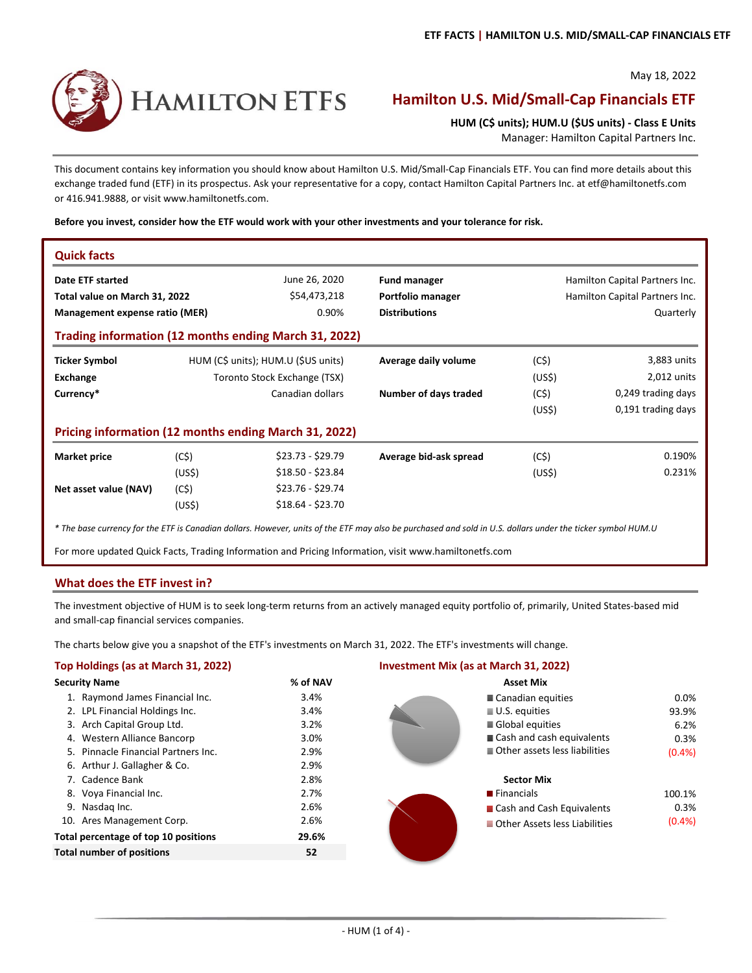

# **HAMILTON ETFS**

# **Hamilton U.S. Mid/Small‐Cap Financials ETF**

**HUM (C\$ units); HUM.U (\$US units) ‐ Class E Units**

Manager: Hamilton Capital Partners Inc.

This document contains key information you should know about Hamilton U.S. Mid/Small‐Cap Financials ETF. You can find more details about this exchange traded fund (ETF) in its prospectus. Ask your representative for a copy, contact Hamilton Capital Partners Inc. at etf@hamiltonetfs.com or 416.941.9888, or visit www.hamiltonetfs.com.

**Before you invest, consider how the ETF would work with your other investments and your tolerance for risk.**

| <b>Quick facts</b>             |                              |                                                       |                                                                                                                                                             |                    |                                |  |
|--------------------------------|------------------------------|-------------------------------------------------------|-------------------------------------------------------------------------------------------------------------------------------------------------------------|--------------------|--------------------------------|--|
| Date ETF started               |                              | June 26, 2020                                         | <b>Fund manager</b>                                                                                                                                         |                    | Hamilton Capital Partners Inc. |  |
| Total value on March 31, 2022  |                              | \$54,473,218                                          | Portfolio manager                                                                                                                                           |                    | Hamilton Capital Partners Inc. |  |
| Management expense ratio (MER) |                              | 0.90%                                                 | <b>Distributions</b>                                                                                                                                        |                    | Quarterly                      |  |
|                                |                              | Trading information (12 months ending March 31, 2022) |                                                                                                                                                             |                    |                                |  |
| <b>Ticker Symbol</b>           |                              | HUM (C\$ units); HUM.U (\$US units)                   | Average daily volume                                                                                                                                        | (C5)               | 3,883 units                    |  |
| Exchange                       | Toronto Stock Exchange (TSX) |                                                       |                                                                                                                                                             | (US <sub>5</sub> ) | 2,012 units                    |  |
| Currency*                      |                              | Canadian dollars                                      | Number of days traded                                                                                                                                       | (C5)               | 0,249 trading days             |  |
|                                |                              |                                                       |                                                                                                                                                             | (US <sub>5</sub> ) | 0,191 trading days             |  |
|                                |                              | Pricing information (12 months ending March 31, 2022) |                                                                                                                                                             |                    |                                |  |
| <b>Market price</b>            | (C5)                         | $$23.73 - $29.79$                                     | Average bid-ask spread                                                                                                                                      | (C5)               | 0.190%                         |  |
|                                | (US <sub>5</sub> )           | $$18.50 - $23.84$                                     |                                                                                                                                                             | (US <sub>5</sub> ) | 0.231%                         |  |
| Net asset value (NAV)          | (C5)                         | $$23.76 - $29.74$                                     |                                                                                                                                                             |                    |                                |  |
|                                | (US <sub>5</sub> )           | $$18.64 - $23.70$                                     |                                                                                                                                                             |                    |                                |  |
|                                |                              |                                                       | * The base currency for the ETF is Canadian dollars. However, units of the ETF may also be purchased and sold in U.S. dollars under the ticker symbol HUM.U |                    |                                |  |

For more updated Quick Facts, Trading Information and Pricing Information, visit www.hamiltonetfs.com

## **What does the ETF invest in?**

The investment objective of HUM is to seek long-term returns from an actively managed equity portfolio of, primarily, United States-based mid and small‐cap financial services companies.

The charts below give you a snapshot of the ETF's investments on March 31, 2022. The ETF's investments will change.

| Top Holdings (as at March 31, 2022)  | <b>Investment Mix (as at March 31, 2022)</b> |                               |        |  |
|--------------------------------------|----------------------------------------------|-------------------------------|--------|--|
| <b>Security Name</b>                 | % of NAV                                     | <b>Asset Mix</b>              |        |  |
| 1. Raymond James Financial Inc.      | 3.4%                                         | ■ Canadian equities           | 0.0%   |  |
| 2. LPL Financial Holdings Inc.       | 3.4%                                         | $\blacksquare$ U.S. equities  | 93.9%  |  |
| 3. Arch Capital Group Ltd.           | 3.2%                                         | Global equities               | 6.2%   |  |
| 4. Western Alliance Bancorp          | 3.0%                                         | Cash and cash equivalents     | 0.3%   |  |
| 5. Pinnacle Financial Partners Inc.  | 2.9%                                         | Other assets less liabilities | (0.4%  |  |
| 6. Arthur J. Gallagher & Co.         | 2.9%                                         |                               |        |  |
| 7. Cadence Bank                      | 2.8%                                         | <b>Sector Mix</b>             |        |  |
| 8. Voya Financial Inc.               | 2.7%                                         | <b>Financials</b>             | 100.1% |  |
| 9. Nasdag Inc.                       | 2.6%                                         | Cash and Cash Equivalents     | 0.3%   |  |
| 10. Ares Management Corp.            | 2.6%                                         | Other Assets less Liabilities | (0.4%  |  |
| Total percentage of top 10 positions | 29.6%                                        |                               |        |  |
| <b>Total number of positions</b>     | 52                                           |                               |        |  |
|                                      |                                              |                               |        |  |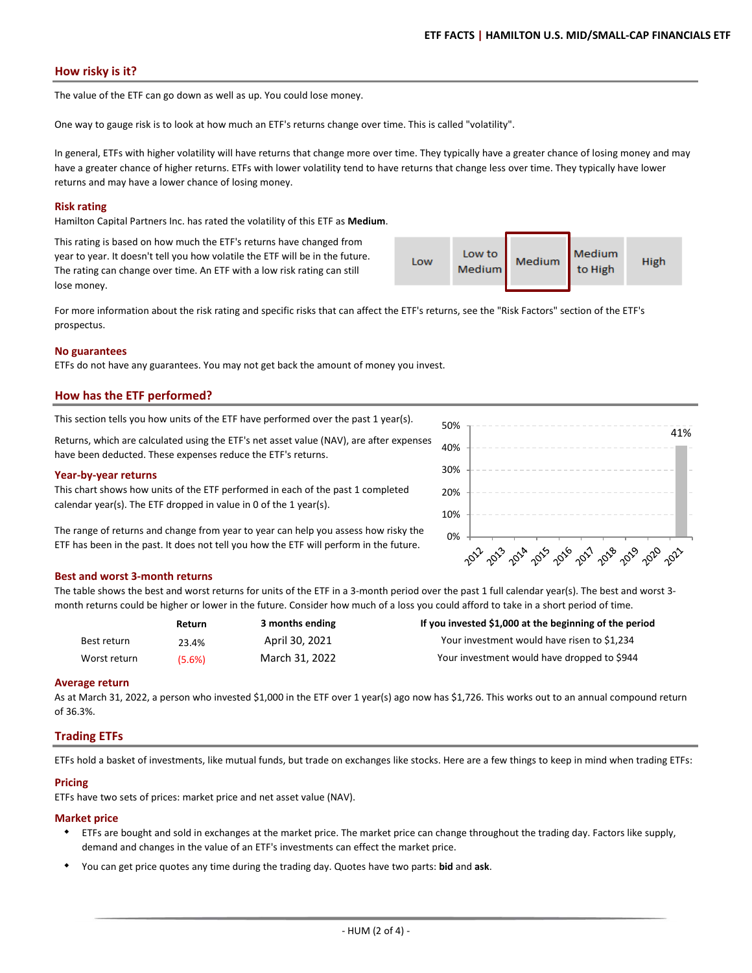#### **How risky is it?**

The value of the ETF can go down as well as up. You could lose money.

One way to gauge risk is to look at how much an ETF's returns change over time. This is called "volatility".

In general, ETFs with higher volatility will have returns that change more over time. They typically have a greater chance of losing money and may have a greater chance of higher returns. ETFs with lower volatility tend to have returns that change less over time. They typically have lower returns and may have a lower chance of losing money.

#### **Risk rating**

Hamilton Capital Partners Inc. has rated the volatility of this ETF as **Medium**.

This rating is based on how much the ETF's returns have changed from year to year. It doesn't tell you how volatile the ETF will be in the future. The rating can change over time. An ETF with a low risk rating can still lose money.

Medium Low to Low Medium **High** Medium to High

For more information about the risk rating and specific risks that can affect the ETF's returns, see the "Risk Factors" section of the ETF's prospectus.

#### **No guarantees**

ETFs do not have any guarantees. You may not get back the amount of money you invest.

#### **How has the ETF performed?**

This section tells you how units of the ETF have performed over the past 1 year(s).

Returns, which are calculated using the ETF's net asset value (NAV), are after expenses have been deducted. These expenses reduce the ETF's returns.

#### **Year‐by‐year returns**

This chart shows how units of the ETF performed in each of the past 1 completed calendar year(s). The ETF dropped in value in 0 of the 1 year(s).

The range of returns and change from year to year can help you assess how risky the ETF has been in the past. It does not tell you how the ETF will perform in the future.



The table shows the best and worst returns for units of the ETF in a 3-month period over the past 1 full calendar year(s). The best and worst 3month returns could be higher or lower in the future. Consider how much of a loss you could afford to take in a short period of time.

|              | Return    | 3 months ending | If you invested \$1,000 at the beginning of the period |
|--------------|-----------|-----------------|--------------------------------------------------------|
| Best return  | 23.4%     | April 30, 2021  | Your investment would have risen to \$1,234            |
| Worst return | $(5.6\%)$ | March 31, 2022  | Your investment would have dropped to \$944            |

#### **Average return**

As at March 31, 2022, a person who invested \$1,000 in the ETF over 1 year(s) ago now has \$1,726. This works out to an annual compound return of 36.3%.

#### **Trading ETFs**

ETFs hold a basket of investments, like mutual funds, but trade on exchanges like stocks. Here are a few things to keep in mind when trading ETFs:

#### **Pricing**

ETFs have two sets of prices: market price and net asset value (NAV).

#### **Market price**

- ETFs are bought and sold in exchanges at the market price. The market price can change throughout the trading day. Factors like supply, demand and changes in the value of an ETF's investments can effect the market price.
- $\bullet$ You can get price quotes any time during the trading day. Quotes have two parts: **bid** and **ask**.



50%

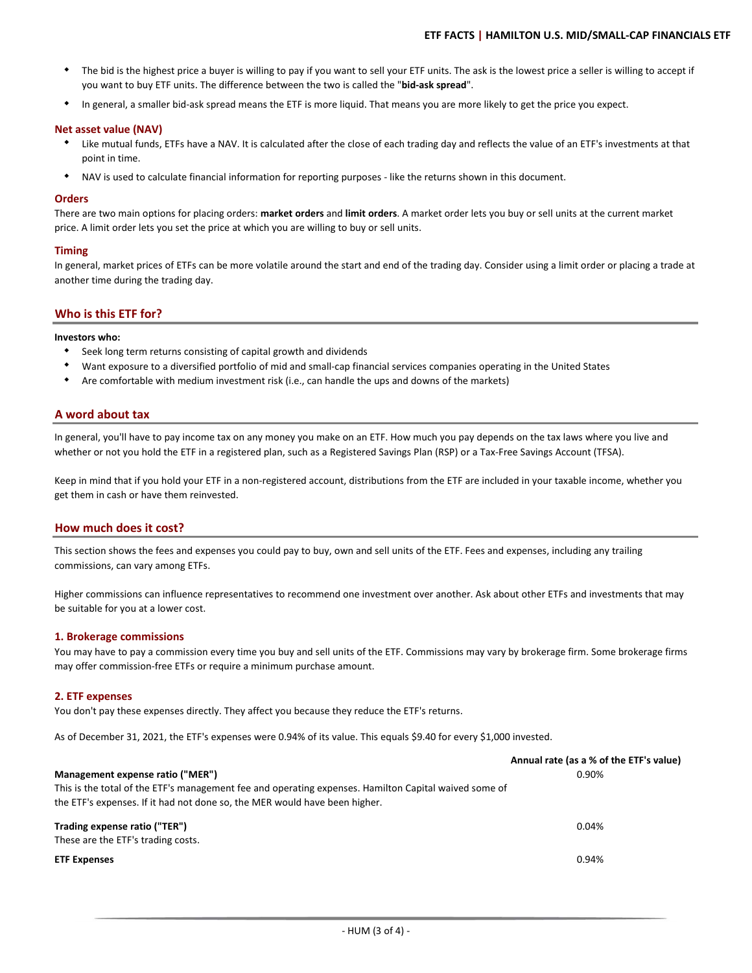- $\bullet$ The bid is the highest price a buyer is willing to pay if you want to sell your ETF units. The ask is the lowest price a seller is willing to accept if you want to buy ETF units. The difference between the two is called the "**bid‐ask spread**".
- $\bullet$ In general, a smaller bid‐ask spread means the ETF is more liquid. That means you are more likely to get the price you expect.

#### **Net asset value (NAV)**

- Like mutual funds, ETFs have a NAV. It is calculated after the close of each trading day and reflects the value of an ETF's investments at that point in time.
- $\bullet$ NAV is used to calculate financial information for reporting purposes ‐ like the returns shown in this document.

#### **Orders**

There are two main options for placing orders: **market orders** and **limit orders**. A market order lets you buy or sell units at the current market price. A limit order lets you set the price at which you are willing to buy or sell units.

#### **Timing**

In general, market prices of ETFs can be more volatile around the start and end of the trading day. Consider using a limit order or placing a trade at another time during the trading day.

#### **Who is this ETF for?**

#### **Investors who:**

- Seek long term returns consisting of capital growth and dividends
- $\bullet$ Want exposure to a diversified portfolio of mid and small‐cap financial services companies operating in the United States
- $\bullet$ Are comfortable with medium investment risk (i.e., can handle the ups and downs of the markets)

#### **A word about tax**

In general, you'll have to pay income tax on any money you make on an ETF. How much you pay depends on the tax laws where you live and whether or not you hold the ETF in a registered plan, such as a Registered Savings Plan (RSP) or a Tax-Free Savings Account (TFSA).

Keep in mind that if you hold your ETF in a non-registered account, distributions from the ETF are included in your taxable income, whether you get them in cash or have them reinvested.

#### **How much does it cost?**

This section shows the fees and expenses you could pay to buy, own and sell units of the ETF. Fees and expenses, including any trailing commissions, can vary among ETFs.

Higher commissions can influence representatives to recommend one investment over another. Ask about other ETFs and investments that may be suitable for you at a lower cost.

#### **1. Brokerage commissions**

You may have to pay a commission every time you buy and sell units of the ETF. Commissions may vary by brokerage firm. Some brokerage firms may offer commission‐free ETFs or require a minimum purchase amount.

#### **2. ETF expenses**

You don't pay these expenses directly. They affect you because they reduce the ETF's returns.

As of December 31, 2021, the ETF's expenses were 0.94% of its value. This equals \$9.40 for every \$1,000 invested.

|                                                                                                       | Annual rate (as a % of the ETF's value) |
|-------------------------------------------------------------------------------------------------------|-----------------------------------------|
| Management expense ratio ("MER")                                                                      | 0.90%                                   |
| This is the total of the ETF's management fee and operating expenses. Hamilton Capital waived some of |                                         |
| the ETF's expenses. If it had not done so, the MER would have been higher.                            |                                         |
| Trading expense ratio ("TER")                                                                         | 0.04%                                   |
| These are the ETF's trading costs.                                                                    |                                         |
| <b>ETF Expenses</b>                                                                                   | 0.94%                                   |